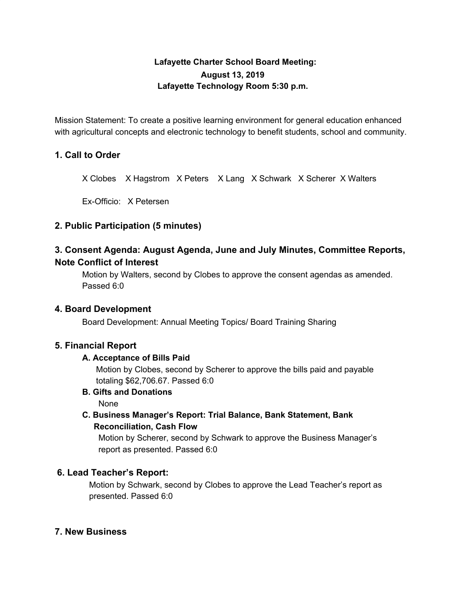# **Lafayette Charter School Board Meeting: August 13, 2019 Lafayette Technology Room 5:30 p.m.**

Mission Statement: To create a positive learning environment for general education enhanced with agricultural concepts and electronic technology to benefit students, school and community.

# **1. Call to Order**

X Clobes X Hagstrom X Peters X Lang X Schwark X Scherer X Walters

Ex-Officio: X Petersen

## **2. Public Participation (5 minutes)**

# **3. Consent Agenda: August Agenda, June and July Minutes, Committee Reports, Note Conflict of Interest**

Motion by Walters, second by Clobes to approve the consent agendas as amended. Passed 6:0

## **4. Board Development**

Board Development: Annual Meeting Topics/ Board Training Sharing

## **5. Financial Report**

#### **A. Acceptance of Bills Paid**

Motion by Clobes, second by Scherer to approve the bills paid and payable totaling \$62,706.67. Passed 6:0

**B. Gifts and Donations**

None

**C. Business Manager's Report: Trial Balance, Bank Statement, Bank Reconciliation, Cash Flow**

Motion by Scherer, second by Schwark to approve the Business Manager's report as presented. Passed 6:0

## **6. Lead Teacher's Report:**

Motion by Schwark, second by Clobes to approve the Lead Teacher's report as presented. Passed 6:0

## **7. New Business**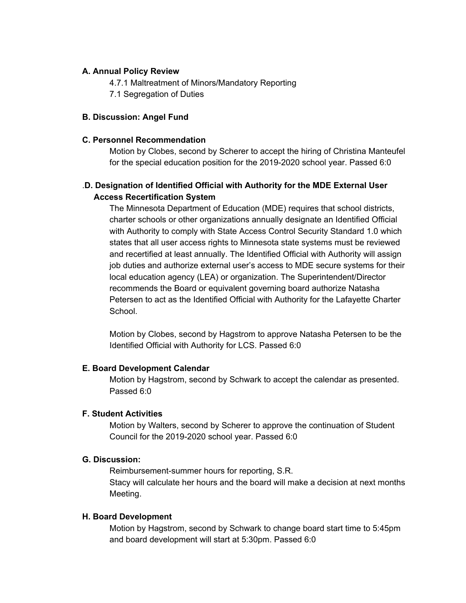## **A. Annual Policy Review**

4.7.1 Maltreatment of Minors/Mandatory Reporting

7.1 Segregation of Duties

#### **B. Discussion: Angel Fund**

#### **C. Personnel Recommendation**

Motion by Clobes, second by Scherer to accept the hiring of Christina Manteufel for the special education position for the 2019-2020 school year. Passed 6:0

# .**D. Designation of Identified Official with Authority for the MDE External User Access Recertification System**

The Minnesota Department of Education (MDE) requires that school districts, charter schools or other organizations annually designate an Identified Official with Authority to comply with State Access Control Security Standard 1.0 which states that all user access rights to Minnesota state systems must be reviewed and recertified at least annually. The Identified Official with Authority will assign job duties and authorize external user's access to MDE secure systems for their local education agency (LEA) or organization. The Superintendent/Director recommends the Board or equivalent governing board authorize Natasha Petersen to act as the Identified Official with Authority for the Lafayette Charter School.

Motion by Clobes, second by Hagstrom to approve Natasha Petersen to be the Identified Official with Authority for LCS. Passed 6:0

#### **E. Board Development Calendar**

Motion by Hagstrom, second by Schwark to accept the calendar as presented. Passed 6:0

## **F. Student Activities**

Motion by Walters, second by Scherer to approve the continuation of Student Council for the 2019-2020 school year. Passed 6:0

#### **G. Discussion:**

Reimbursement-summer hours for reporting, S.R. Stacy will calculate her hours and the board will make a decision at next months Meeting.

#### **H. Board Development**

Motion by Hagstrom, second by Schwark to change board start time to 5:45pm and board development will start at 5:30pm. Passed 6:0